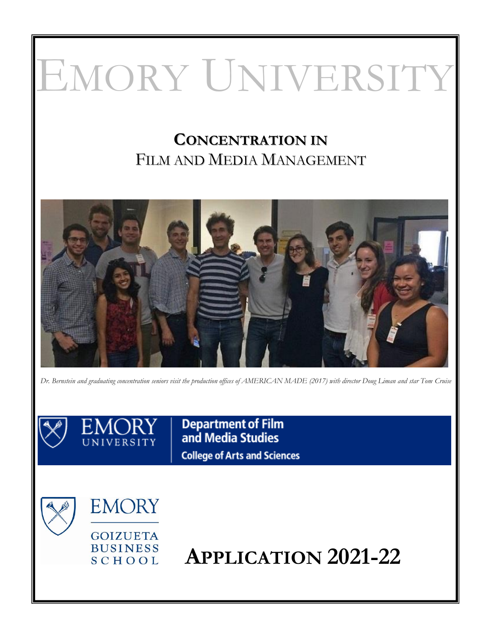# EMORY UNIVERSITY

# **CONCENTRATION IN** FILM AND MEDIA MANAGEMENT



*Dr. Bernstein and graduating concentration seniors visit the production offices of AMERICAN MADE (2017) with director Doug Liman and star Tom Cruise*

**Department of Film**<br>and Media Studies **College of Arts and Sciences** 

**EMORY** 

**GOIZUETA BUSINESS** SCHOOL

**APPLICATION 2021-22**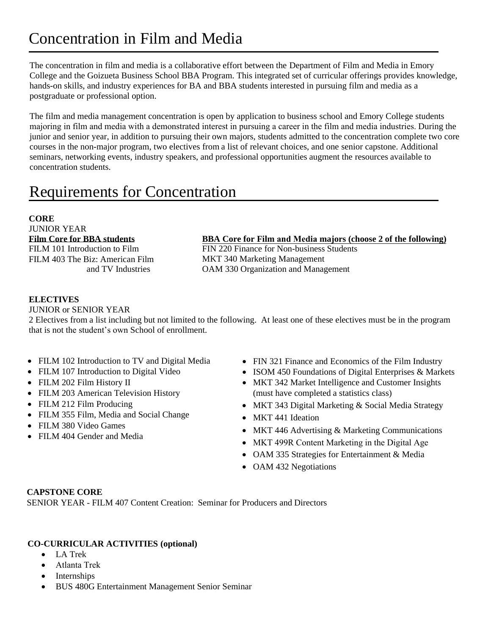# Concentration in Film and Media

The concentration in film and media is a collaborative effort between the Department of Film and Media in Emory College and the Goizueta Business School BBA Program. This integrated set of curricular offerings provides knowledge, hands-on skills, and industry experiences for BA and BBA students interested in pursuing film and media as a postgraduate or professional option.

The film and media management concentration is open by application to business school and Emory College students majoring in film and media with a demonstrated interest in pursuing a career in the film and media industries. During the junior and senior year, in addition to pursuing their own majors, students admitted to the concentration complete two core courses in the non-major program, two electives from a list of relevant choices, and one senior capstone. Additional seminars, networking events, industry speakers, and professional opportunities augment the resources available to concentration students.

# Requirements for Concentration

#### **CORE**

JUNIOR YEAR **Film Core for BBA students** FILM 101 Introduction to Film

FILM 403 The Biz: American Film and TV Industries

**BBA Core for Film and Media majors (choose 2 of the following)**

FIN 220 Finance for Non-business Students MKT 340 Marketing Management OAM 330 Organization and Management

#### **ELECTIVES**

JUNIOR or SENIOR YEAR

2 Electives from a list including but not limited to the following. At least one of these electives must be in the program that is not the student's own School of enrollment.

- FILM 102 Introduction to TV and Digital Media
- FILM 107 Introduction to Digital Video
- FILM 202 Film History II
- FILM 203 American Television History
- FILM 212 Film Producing
- FILM 355 Film, Media and Social Change
- FILM 380 Video Games
- FILM 404 Gender and Media
- FIN 321 Finance and Economics of the Film Industry
- ISOM 450 Foundations of Digital Enterprises & Markets
- MKT 342 Market Intelligence and Customer Insights (must have completed a statistics class)
- MKT 343 Digital Marketing & Social Media Strategy
- MKT 441 Ideation
- MKT 446 Advertising & Marketing Communications
- MKT 499R Content Marketing in the Digital Age
- OAM 335 Strategies for Entertainment & Media
- OAM 432 Negotiations

#### **CAPSTONE CORE**

SENIOR YEAR - FILM 407 Content Creation: Seminar for Producers and Directors

#### **CO-CURRICULAR ACTIVITIES (optional)**

- LA Trek
- Atlanta Trek
- **Internships**
- BUS 480G Entertainment Management Senior Seminar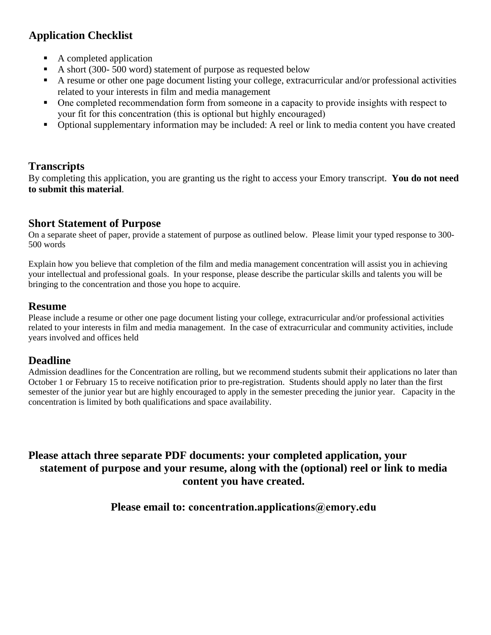# **Application Checklist**

- A completed application
- A short (300- 500 word) statement of purpose as requested below
- A resume or other one page document listing your college, extracurricular and/or professional activities related to your interests in film and media management
- One completed recommendation form from someone in a capacity to provide insights with respect to your fit for this concentration (this is optional but highly encouraged)
- Optional supplementary information may be included: A reel or link to media content you have created

# **Transcripts**

By completing this application, you are granting us the right to access your Emory transcript. **You do not need to submit this material**.

## **Short Statement of Purpose**

On a separate sheet of paper, provide a statement of purpose as outlined below. Please limit your typed response to 300- 500 words

Explain how you believe that completion of the film and media management concentration will assist you in achieving your intellectual and professional goals. In your response, please describe the particular skills and talents you will be bringing to the concentration and those you hope to acquire.

## **Resume**

Please include a resume or other one page document listing your college, extracurricular and/or professional activities related to your interests in film and media management. In the case of extracurricular and community activities, include years involved and offices held

## **Deadline**

Admission deadlines for the Concentration are rolling, but we recommend students submit their applications no later than October 1 or February 15 to receive notification prior to pre-registration. Students should apply no later than the first semester of the junior year but are highly encouraged to apply in the semester preceding the junior year. Capacity in the concentration is limited by both qualifications and space availability.

# **Please attach three separate PDF documents: your completed application, your statement of purpose and your resume, along with the (optional) reel or link to media content you have created.**

**Please email to: concentration.applications@emory.edu**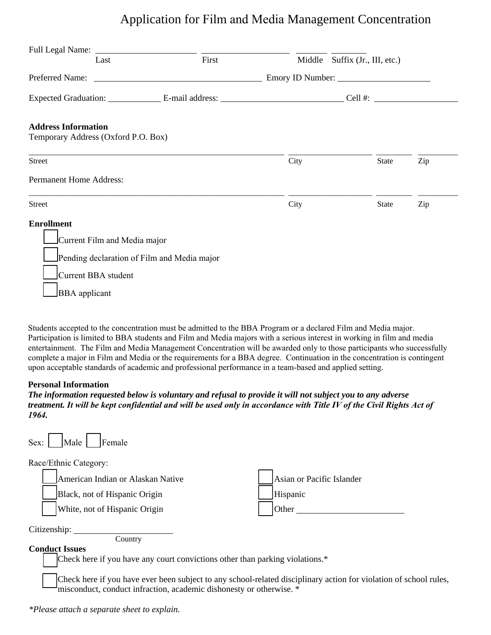# Application for Film and Media Management Concentration

| Last                                        | First | Middle Suffix (Jr., III, etc.) |              |     |  |
|---------------------------------------------|-------|--------------------------------|--------------|-----|--|
|                                             |       |                                |              |     |  |
|                                             |       |                                |              |     |  |
| <b>Address Information</b>                  |       |                                |              |     |  |
| Temporary Address (Oxford P.O. Box)         |       |                                |              |     |  |
| <b>Street</b>                               |       | City                           | <b>State</b> | Zip |  |
| <b>Permanent Home Address:</b>              |       |                                |              |     |  |
| <b>Street</b>                               |       | City                           | <b>State</b> | Zip |  |
| <b>Enrollment</b>                           |       |                                |              |     |  |
| Current Film and Media major                |       |                                |              |     |  |
| Pending declaration of Film and Media major |       |                                |              |     |  |
| Current BBA student                         |       |                                |              |     |  |
| <b>BBA</b> applicant                        |       |                                |              |     |  |

Students accepted to the concentration must be admitted to the BBA Program or a declared Film and Media major. Participation is limited to BBA students and Film and Media majors with a serious interest in working in film and media entertainment. The Film and Media Management Concentration will be awarded only to those participants who successfully complete a major in Film and Media or the requirements for a BBA degree. Continuation in the concentration is contingent upon acceptable standards of academic and professional performance in a team-based and applied setting.

#### **Personal Information**

*The information requested below is voluntary and refusal to provide it will not subject you to any adverse treatment. It will be kept confidential and will be used only in accordance with Title IV of the Civil Rights Act of 1964.*

| Female<br>Male<br>Sex:                                                                              |                                                |
|-----------------------------------------------------------------------------------------------------|------------------------------------------------|
| Race/Ethnic Category:                                                                               |                                                |
| American Indian or Alaskan Native<br>Black, not of Hispanic Origin<br>White, not of Hispanic Origin | Asian or Pacific Islander<br>Hispanic<br>Other |
| Citizenship:<br>Country<br><b>Conduct Issues</b>                                                    |                                                |

Check here if you have any court convictions other than parking violations.\*

Check here if you have ever been subject to any school-related disciplinary action for violation of school rules, misconduct, conduct infraction, academic dishonesty or otherwise. \*

*\*Please attach a separate sheet to explain.*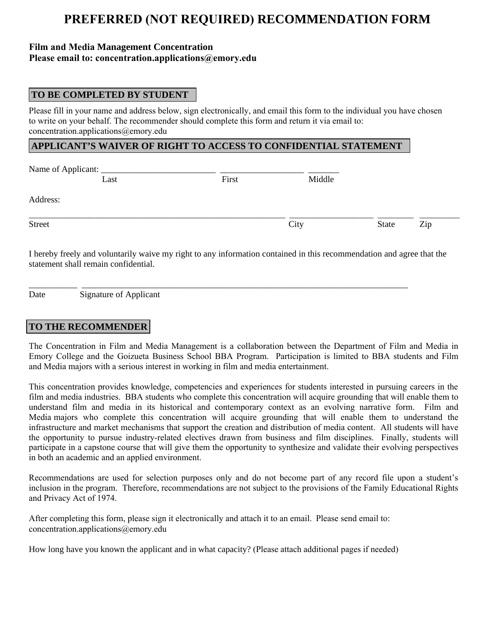# **PREFERRED (NOT REQUIRED) RECOMMENDATION FORM**

### **Film and Media Management Concentration Please email to: concentration.applications@emory.edu**

## **TO BE COMPLETED BY STUDENT**

Please fill in your name and address below, sign electronically, and email this form to the individual you have chosen to write on your behalf. The recommender should complete this form and return it via email to: concentration.applications@emory.edu

#### **APPLICANT'S WAIVER OF RIGHT TO ACCESS TO CONFIDENTIAL STATEMENT**

| Name of Applicant: __ |      |       |      |        |       |     |
|-----------------------|------|-------|------|--------|-------|-----|
|                       | Last | First |      | Middle |       |     |
| Address:              |      |       |      |        |       |     |
| <b>Street</b>         |      |       | City |        | State | Zip |
|                       |      |       |      |        |       |     |

I hereby freely and voluntarily waive my right to any information contained in this recommendation and agree that the statement shall remain confidential.

\_\_\_\_\_\_\_\_\_\_\_ \_\_\_\_\_\_\_\_\_\_\_\_\_\_\_\_\_\_\_\_\_\_\_\_\_\_\_\_\_\_\_\_\_\_\_\_\_\_\_\_\_\_\_\_\_\_\_\_\_\_\_\_\_\_\_\_\_\_\_\_\_\_\_\_\_\_\_\_\_\_\_\_\_\_

Date Signature of Applicant

## **TO THE RECOMMENDER**

The Concentration in Film and Media Management is a collaboration between the Department of Film and Media in Emory College and the Goizueta Business School BBA Program. Participation is limited to BBA students and Film and Media majors with a serious interest in working in film and media entertainment.

This concentration provides knowledge, competencies and experiences for students interested in pursuing careers in the film and media industries. BBA students who complete this concentration will acquire grounding that will enable them to understand film and media in its historical and contemporary context as an evolving narrative form. Film and Media majors who complete this concentration will acquire grounding that will enable them to understand the infrastructure and market mechanisms that support the creation and distribution of media content. All students will have the opportunity to pursue industry-related electives drawn from business and film disciplines. Finally, students will participate in a capstone course that will give them the opportunity to synthesize and validate their evolving perspectives in both an academic and an applied environment.

Recommendations are used for selection purposes only and do not become part of any record file upon a student's inclusion in the program. Therefore, recommendations are not subject to the provisions of the Family Educational Rights and Privacy Act of 1974.

After completing this form, please sign it electronically and attach it to an email. Please send email to: concentration.applications@emory.edu

How long have you known the applicant and in what capacity? (Please attach additional pages if needed)